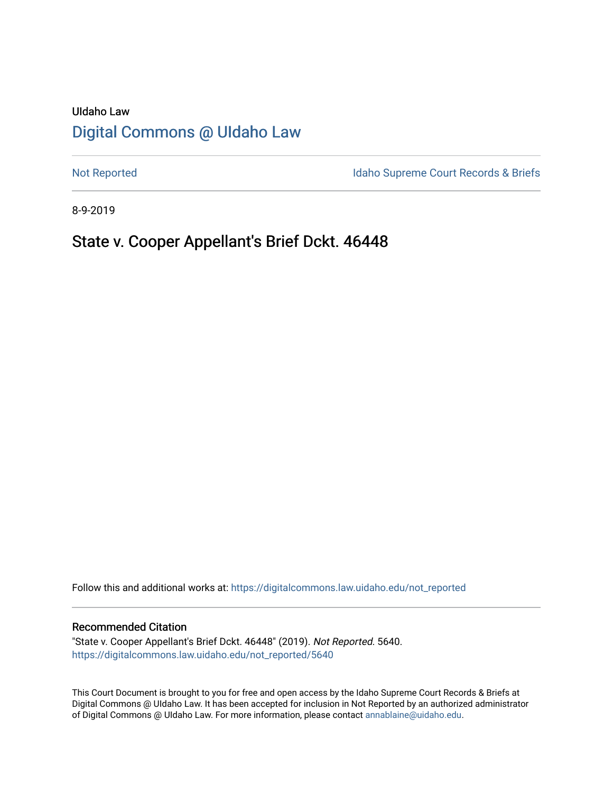# UIdaho Law [Digital Commons @ UIdaho Law](https://digitalcommons.law.uidaho.edu/)

[Not Reported](https://digitalcommons.law.uidaho.edu/not_reported) **Idaho Supreme Court Records & Briefs** 

8-9-2019

## State v. Cooper Appellant's Brief Dckt. 46448

Follow this and additional works at: [https://digitalcommons.law.uidaho.edu/not\\_reported](https://digitalcommons.law.uidaho.edu/not_reported?utm_source=digitalcommons.law.uidaho.edu%2Fnot_reported%2F5640&utm_medium=PDF&utm_campaign=PDFCoverPages) 

#### Recommended Citation

"State v. Cooper Appellant's Brief Dckt. 46448" (2019). Not Reported. 5640. [https://digitalcommons.law.uidaho.edu/not\\_reported/5640](https://digitalcommons.law.uidaho.edu/not_reported/5640?utm_source=digitalcommons.law.uidaho.edu%2Fnot_reported%2F5640&utm_medium=PDF&utm_campaign=PDFCoverPages)

This Court Document is brought to you for free and open access by the Idaho Supreme Court Records & Briefs at Digital Commons @ UIdaho Law. It has been accepted for inclusion in Not Reported by an authorized administrator of Digital Commons @ UIdaho Law. For more information, please contact [annablaine@uidaho.edu](mailto:annablaine@uidaho.edu).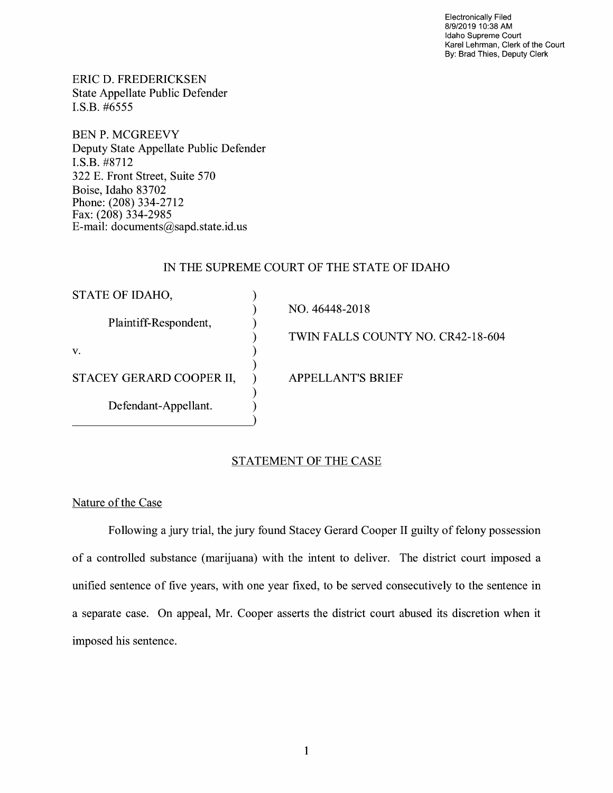Electronically Filed 8/9/2019 10:38 **AM**  Idaho Supreme Court Karel Lehrman, Clerk of the Court By: Brad Thies, Deputy Clerk

ERIC D. FREDERICKSEN State Appellate Public Defender I.S.B. #6555

BEN P. MCGREEVY Deputy State Appellate Public Defender **I.S.B.** #8712 322 E. Front Street, Suite 570 Boise, Idaho 83702 Phone: (208) 334-2712 Fax: (208) 334-2985 E-mail: documents@sapd.state.id. us

## IN THE SUPREME COURT OF THE STATE OF IDAHO

| STATE OF IDAHO,          |                                   |
|--------------------------|-----------------------------------|
|                          | NO. 46448-2018                    |
| Plaintiff-Respondent,    | TWIN FALLS COUNTY NO. CR42-18-604 |
| V.                       |                                   |
|                          |                                   |
| STACEY GERARD COOPER II, | <b>APPELLANT'S BRIEF</b>          |
|                          |                                   |
| Defendant-Appellant.     |                                   |
|                          |                                   |

## STATEMENT OF THE CASE

### Nature of the Case

Following a jury trial, the jury found Stacey Gerard Cooper II guilty of felony possession of a controlled substance (marijuana) with the intent to deliver. The district court imposed a unified sentence of five years, with one year fixed, to be served consecutively to the sentence in a separate case. On appeal, Mr. Cooper asserts the district court abused its discretion when it imposed his sentence.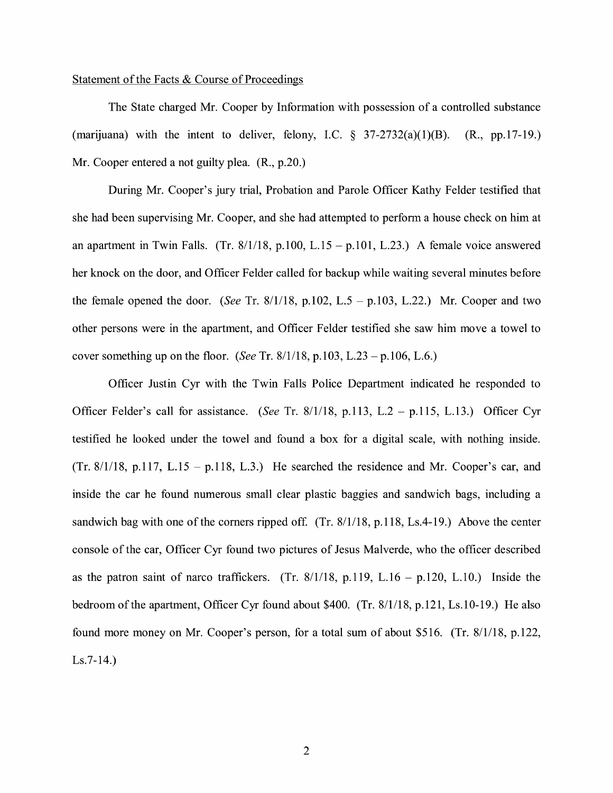#### Statement of the Facts & Course of Proceedings

The State charged Mr. Cooper by Information with possession of a controlled substance (marijuana) with the intent to deliver, felony, I.C.  $\frac{8}{37-2732(a)(1)(B)}$ . (R., pp.17-19.) Mr. Cooper entered a not guilty plea.  $(R., p.20.)$ 

During Mr. Cooper's jury trial, Probation and Parole Officer Kathy Felder testified that she had been supervising Mr. Cooper, and she had attempted to perform a house check on him at an apartment in Twin Falls. (Tr.  $8/1/18$ , p.100, L.15 - p.101, L.23.) A female voice answered her knock on the door, and Officer Felder called for backup while waiting several minutes before the female opened the door. *(See* Tr. 8/1/18, p.102, L.5 - p.103, L.22.) Mr. Cooper and two other persons were in the apartment, and Officer Felder testified she saw him move a towel to cover something up on the floor. *(See* Tr. 8/1/18, p.103, L.23 - p.106, L.6.)

Officer Justin Cyr with the Twin Falls Police Department indicated he responded to Officer Felder's call for assistance. *(See* Tr. 8/1/18, p.113, L.2 - p.115, L.13.) Officer Cyr testified he looked under the towel and found a box for a digital scale, with nothing inside. (Tr. 8/1/18, p.117, L.15 - p.118, L.3.) He searched the residence and Mr. Cooper's car, and inside the car he found numerous small clear plastic baggies and sandwich bags, including a sandwich bag with one of the corners ripped off.  $(Tr. 8/1/18, p.118, Ls.4-19)$ . Above the center console of the car, Officer Cyr found two pictures of Jesus Malverde, who the officer described as the patron saint of narco traffickers. (Tr.  $8/1/18$ , p.119, L.16 – p.120, L.10.) Inside the bedroom of the apartment, Officer Cyr found about \$400. (Tr. 8/1/18, p.121, Ls.10-19.) He also found more money on Mr. Cooper's person, for a total sum of about \$516. (Tr. 8/1/18, p.122, Ls.7-14.)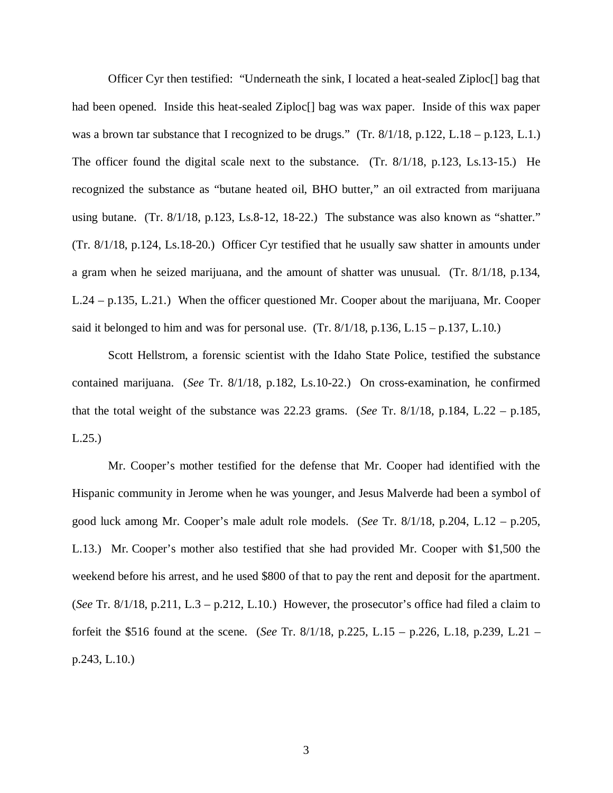Officer Cyr then testified: "Underneath the sink, I located a heat-sealed Ziploc[] bag that had been opened. Inside this heat-sealed Ziploc<sup>[]</sup> bag was wax paper. Inside of this wax paper was a brown tar substance that I recognized to be drugs." (Tr.  $8/1/18$ , p.122, L.18 – p.123, L.1.) The officer found the digital scale next to the substance. (Tr. 8/1/18, p.123, Ls.13-15.) He recognized the substance as "butane heated oil, BHO butter," an oil extracted from marijuana using butane. (Tr. 8/1/18, p.123, Ls.8-12, 18-22.) The substance was also known as "shatter." (Tr. 8/1/18, p.124, Ls.18-20.) Officer Cyr testified that he usually saw shatter in amounts under a gram when he seized marijuana, and the amount of shatter was unusual. (Tr. 8/1/18, p.134, L.24 – p.135, L.21.) When the officer questioned Mr. Cooper about the marijuana, Mr. Cooper said it belonged to him and was for personal use. (Tr.  $8/1/18$ , p.136, L.15 – p.137, L.10.)

Scott Hellstrom, a forensic scientist with the Idaho State Police, testified the substance contained marijuana. (*See* Tr. 8/1/18, p.182, Ls.10-22.) On cross-examination, he confirmed that the total weight of the substance was 22.23 grams. (*See* Tr. 8/1/18, p.184, L.22 – p.185, L.25.)

Mr. Cooper's mother testified for the defense that Mr. Cooper had identified with the Hispanic community in Jerome when he was younger, and Jesus Malverde had been a symbol of good luck among Mr. Cooper's male adult role models. (*See* Tr. 8/1/18, p.204, L.12 – p.205, L.13.) Mr. Cooper's mother also testified that she had provided Mr. Cooper with \$1,500 the weekend before his arrest, and he used \$800 of that to pay the rent and deposit for the apartment. (*See* Tr. 8/1/18, p.211, L.3 – p.212, L.10.) However, the prosecutor's office had filed a claim to forfeit the \$516 found at the scene. (*See* Tr. 8/1/18, p.225, L.15 – p.226, L.18, p.239, L.21 – p.243, L.10.)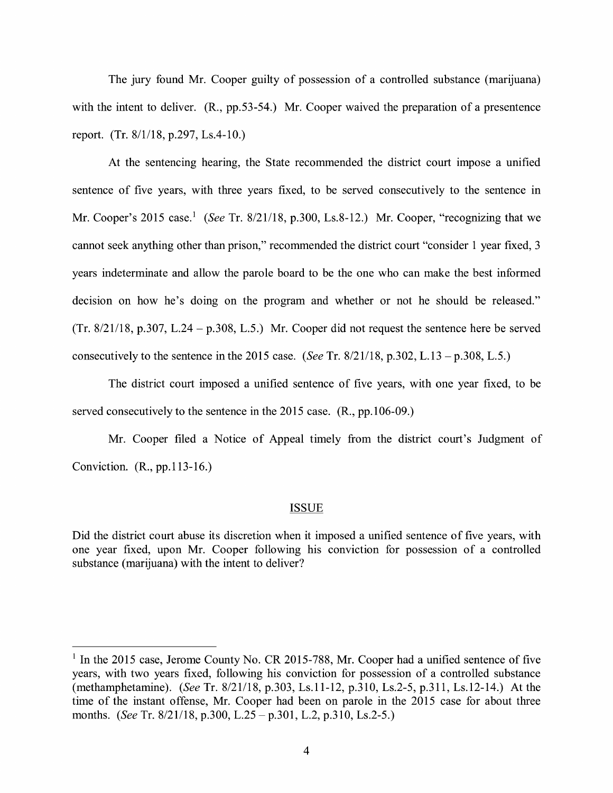The jury found Mr. Cooper guilty of possession of a controlled substance (marijuana) with the intent to deliver. (R., pp.53-54.) Mr. Cooper waived the preparation of a presentence report. (Tr. 8/1/18, p.297, Ls.4-10.)

At the sentencing hearing, the State recommended the district court impose a unified sentence of five years, with three years fixed, to be served consecutively to the sentence in Mr. Cooper's 2015 case.<sup>1</sup> (See Tr. 8/21/18, p.300, Ls.8-12.) Mr. Cooper, "recognizing that we cannot seek anything other than prison," recommended the district court "consider 1 year fixed, 3 years indeterminate and allow the parole board to be the one who can make the best informed decision on how he's doing on the program and whether or not he should be released."  $(Tr. 8/21/18, p.307, L.24 - p.308, L.5)$  Mr. Cooper did not request the sentence here be served consecutively to the sentence in the 2015 case. *(See* Tr. 8/21/18, p.302, L.13-p.308, L.5.)

The district court imposed a unified sentence of five years, with one year fixed, to be served consecutively to the sentence in the 2015 case. (R., pp.106-09.)

Mr. Cooper filed a Notice of Appeal timely from the district court's Judgment of Conviction. **(R.,** pp.113-16.)

#### ISSUE

Did the district court abuse its discretion when it imposed a unified sentence of five years, with one year fixed, upon Mr. Cooper following his conviction for possession of a controlled substance (marijuana) with the intent to deliver?

 $1$  In the 2015 case, Jerome County No. CR 2015-788, Mr. Cooper had a unified sentence of five years, with two years fixed, following his conviction for possession of a controlled substance (methamphetamine). *(See* Tr. 8/21/18, p.303, Ls.11-12, p.310, Ls.2-5, p.311, Ls.12-14.) At the time of the instant offense, Mr. Cooper had been on parole in the 2015 case for about three months. *(See* Tr. 8/21/18, p.300, L.25 - p.301, L.2, p.310, Ls.2-5.)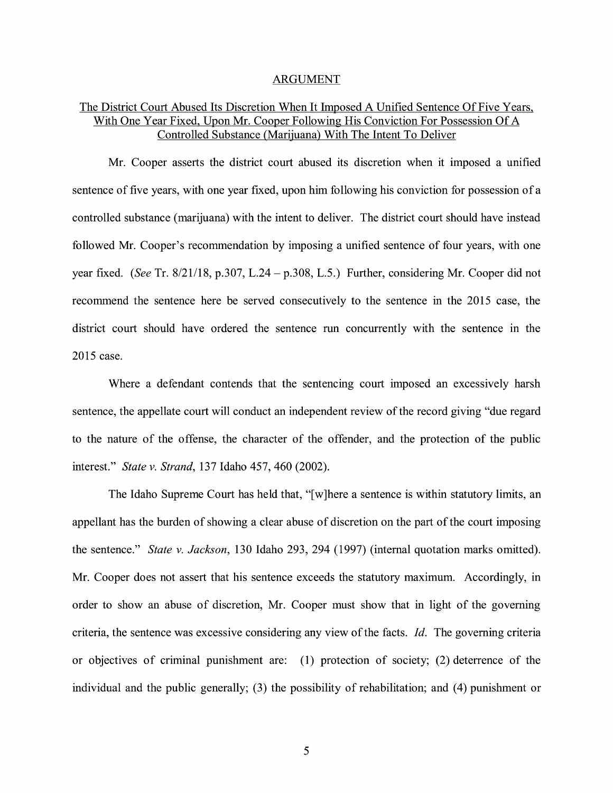#### ARGUMENT

## The District Court Abused Its Discretion When It Imposed A Unified Sentence Of Five Years, With One Year Fixed, Upon Mr. Cooper Following His Conviction For Possession Of A Controlled Substance (Marijuana) With The Intent To Deliver

Mr. Cooper asserts the district court abused its discretion when it imposed a unified sentence of five years, with one year fixed, upon him following his conviction for possession of a controlled substance (marijuana) with the intent to deliver. The district court should have instead followed Mr. Cooper's recommendation by imposing a unified sentence of four years, with one year fixed. *(See* Tr. 8/21/18, p.307, L.24 - p.308, L.5.) Further, considering Mr. Cooper did not recommend the sentence here be served consecutively to the sentence in the 2015 case, the district court should have ordered the sentence run concurrently with the sentence in the 2015 case.

Where a defendant contends that the sentencing court imposed an excessively harsh sentence, the appellate court will conduct an independent review of the record giving "due regard to the nature of the offense, the character of the offender, and the protection of the public interest." *State v. Strand,* 137 Idaho 457, 460 (2002).

The Idaho Supreme Court has held that, "[ w ]here a sentence is within statutory limits, an appellant has the burden of showing a clear abuse of discretion on the part of the court imposing the sentence." *State v. Jackson,* 130 Idaho 293, 294 (1997) (internal quotation marks omitted). Mr. Cooper does not assert that his sentence exceeds the statutory maximum. Accordingly, in order to show an abuse of discretion, Mr. Cooper must show that in light of the governing criteria, the sentence was excessive considering any view of the facts. *Id.* The governing criteria or objectives of criminal punishment are: (1) protection of society; (2) deterrence of the individual and the public generally; (3) the possibility of rehabilitation; and (4) punishment or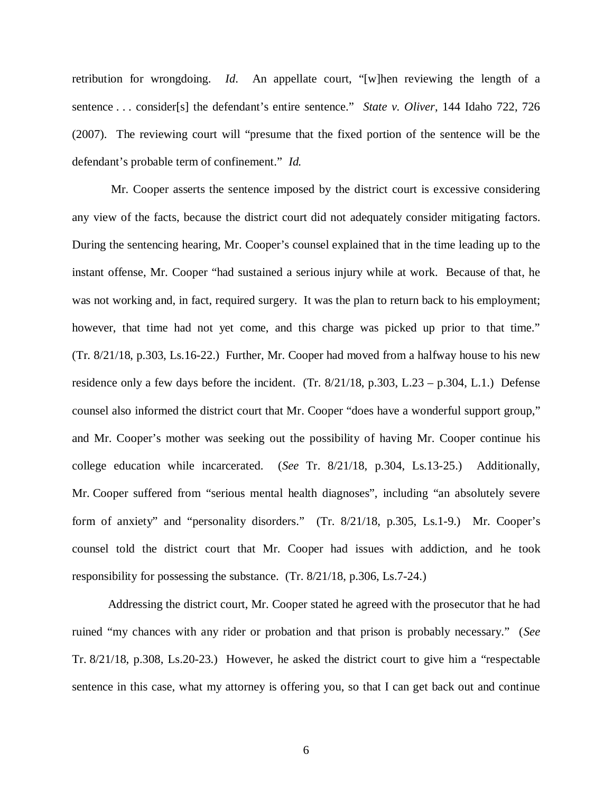retribution for wrongdoing. *Id*. An appellate court, "[w]hen reviewing the length of a sentence . . . consider[s] the defendant's entire sentence." *State v. Oliver*, 144 Idaho 722, 726 (2007). The reviewing court will "presume that the fixed portion of the sentence will be the defendant's probable term of confinement." *Id.*

 Mr. Cooper asserts the sentence imposed by the district court is excessive considering any view of the facts, because the district court did not adequately consider mitigating factors. During the sentencing hearing, Mr. Cooper's counsel explained that in the time leading up to the instant offense, Mr. Cooper "had sustained a serious injury while at work. Because of that, he was not working and, in fact, required surgery. It was the plan to return back to his employment; however, that time had not yet come, and this charge was picked up prior to that time." (Tr. 8/21/18, p.303, Ls.16-22.) Further, Mr. Cooper had moved from a halfway house to his new residence only a few days before the incident. (Tr. 8/21/18, p.303, L.23 – p.304, L.1.) Defense counsel also informed the district court that Mr. Cooper "does have a wonderful support group," and Mr. Cooper's mother was seeking out the possibility of having Mr. Cooper continue his college education while incarcerated. (*See* Tr. 8/21/18, p.304, Ls.13-25.) Additionally, Mr. Cooper suffered from "serious mental health diagnoses", including "an absolutely severe form of anxiety" and "personality disorders." (Tr. 8/21/18, p.305, Ls.1-9.) Mr. Cooper's counsel told the district court that Mr. Cooper had issues with addiction, and he took responsibility for possessing the substance. (Tr. 8/21/18, p.306, Ls.7-24.)

Addressing the district court, Mr. Cooper stated he agreed with the prosecutor that he had ruined "my chances with any rider or probation and that prison is probably necessary." (*See* Tr. 8/21/18, p.308, Ls.20-23.) However, he asked the district court to give him a "respectable sentence in this case, what my attorney is offering you, so that I can get back out and continue